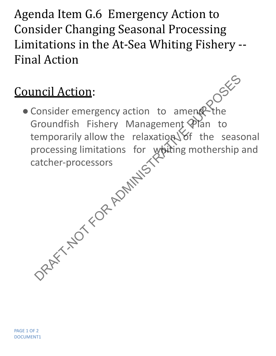Agenda Item G.6 Emergency Action to Consider Changing Seasonal Processing Limitations in the At-Sea Whiting Fishery -- Final Action

## Council Action:

• Consider emergency action to amend the Groundfish Fishery Management Plan to temporarily allow the relaxation Sof the seasonal processing limitations for whiting mothership and catcher-processors Provider emergency action to ameng the<br>Eiroundfish Fishery Management Plan to<br>emporarily allow the relaxation of the sease<br>processing limitations for whiting mothership<br>atcher-processors<br>atcher-processors<br> $\frac{1}{2}$ <br> $\frac{1}{2$